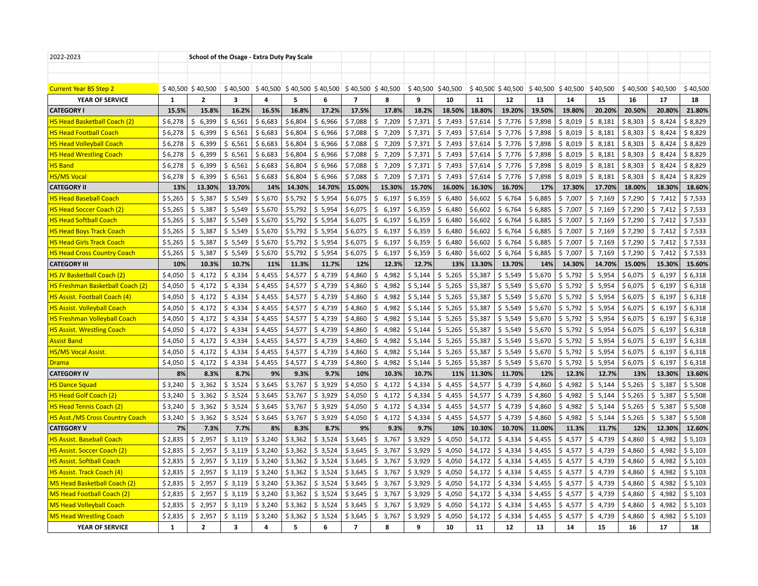| 2022-2023                              |              | School of the Osage - Extra Duty Pay Scale |                                                                                                                               |         |         |         |                |              |         |                   |         |                    |          |         |                    |         |                    |          |
|----------------------------------------|--------------|--------------------------------------------|-------------------------------------------------------------------------------------------------------------------------------|---------|---------|---------|----------------|--------------|---------|-------------------|---------|--------------------|----------|---------|--------------------|---------|--------------------|----------|
|                                        |              |                                            |                                                                                                                               |         |         |         |                |              |         |                   |         |                    |          |         |                    |         |                    |          |
|                                        |              |                                            |                                                                                                                               |         |         |         |                |              |         |                   |         |                    |          |         |                    |         |                    |          |
| <b>Current Year BS Step 2</b>          |              | $$40,500$ \$40,500                         | $\frac{1}{2}$ 40,500 $\frac{1}{2}$ 40,500 $\frac{1}{2}$ 40,500 $\frac{1}{2}$ 40,500 $\frac{1}{2}$ 40,500 $\frac{1}{2}$ 40,500 |         |         |         |                |              |         | \$40,500 \$40,500 |         | $$40,500$ \$40,500 | \$40,500 |         | $$40,500$ \$40,500 |         | $$40,500$ \$40,500 | \$40,500 |
| YEAR OF SERVICE                        | 1            | $\mathbf{2}$                               | 3                                                                                                                             | 4       | 5       | 6       | $\mathbf{7}$   | 8            | 9       | 10                | 11      | 12                 | 13       | 14      | 15                 | 16      | 17                 | 18       |
| <b>CATEGORY I</b>                      | 15.5%        | 15.8%                                      | 16.2%                                                                                                                         | 16.5%   | 16.8%   | 17.2%   | 17.5%          | 17.8%        | 18.2%   | 18.50%            | 18.80%  | 19.20%             | 19.50%   | 19.80%  | 20.20%             | 20.50%  | 20.80%             | 21.80%   |
| <b>HS Head Basketball Coach (2)</b>    | \$6,278      | 6,399<br>\$                                | \$6,561                                                                                                                       | \$6,683 | \$6,804 | \$6,966 | \$7,088        | 7,209<br>Ŝ.  | \$7,371 | \$7,493           | \$7,614 | \$7,776            | \$7,898  | \$8,019 | \$<br>8,181        | \$8,303 | \$8,424            | \$8,829  |
| <b>HS Head Football Coach</b>          | \$6,278      | \$<br>6,399                                | \$6,561                                                                                                                       | \$6,683 | \$6,804 | \$6,966 | \$7,088        | 7,209<br>\$  | \$7,371 | \$7,493           | \$7,614 | \$7,776            | \$7,898  | \$8,019 | \$8,181            | \$8,303 | \$8,424            | \$8,829  |
| <b>HS Head Volleyball Coach</b>        | \$6,278      | 6,399<br>\$                                | \$6,561                                                                                                                       | \$6,683 | \$6,804 | \$6,966 | \$7,088        | 7,209<br>S.  | \$7,371 | \$7,493           | \$7,614 | \$7,776            | \$7,898  | \$8,019 | \$8,181            | \$8,303 | \$8,424            | \$8,829  |
| <b>HS Head Wrestling Coach</b>         | \$6,278      | 6,399<br>\$.                               | \$6,561                                                                                                                       | \$6,683 | \$6,804 | \$6,966 | \$7,088        | \$<br>7,209  | \$7,371 | \$7,493           | \$7,614 | \$7,776            | \$7,898  | \$8,019 | \$<br>8,181        | \$8,303 | \$8,424            | \$8,829  |
| <b>HS Band</b>                         | \$6,278      | 6,399<br>\$                                | \$6,561                                                                                                                       | \$6,683 | \$6,804 | \$6,966 | \$7,088        | 7,209<br>\$  | \$7,371 | \$7,493           | \$7,614 | \$7,776            | \$7,898  | \$8,019 | \$8,181            | \$8,303 | \$8,424            | \$8,829  |
| <b>HS/MS Vocal</b>                     | \$6,278      | \$6,399                                    | \$6,561                                                                                                                       | \$6,683 | \$6,804 | \$6,966 | \$7,088        | \$7,209      | \$7,371 | \$7,493           | \$7,614 | \$7,776            | \$7,898  | \$8,019 | \$8,181            | \$8,303 | \$8,424            | \$8,829  |
| <b>CATEGORY II</b>                     | 13%          | 13.30%                                     | 13.70%                                                                                                                        | 14%     | 14.30%  | 14.70%  | 15.00%         | 15.30%       | 15.70%  | 16.00%            | 16.30%  | 16.70%             | 17%      | 17.30%  | 17.70%             | 18.00%  | 18.30%             | 18.60%   |
| <b>HS Head Baseball Coach</b>          | \$5,265      | \$5,387                                    | \$5,549                                                                                                                       | \$5,670 | \$5,792 | \$5,954 | \$6,075        | 6,197<br>Ś.  | \$6,359 | \$6,480           | \$6,602 | \$6,764            | \$6,885  | \$7,007 | \$7,169            | \$7,290 | \$7,412            | \$7,533  |
| <b>HS Head Soccer Coach (2)</b>        | \$5,265      | \$5,387                                    | \$5,549                                                                                                                       | \$5,670 | \$5,792 | \$5,954 | \$6,075        | 6,197<br>S.  | \$6,359 | \$6,480           | \$6,602 | \$6,764            | \$6,885  | \$7,007 | \$7,169            | \$7,290 | \$7,412            | \$7,533  |
| <b>HS Head Softball Coach</b>          | \$5,265      | \$5,387                                    | \$5,549                                                                                                                       | \$5,670 | \$5,792 | \$5,954 | \$6,075        | 6,197<br>\$  | \$6,359 | \$6,480           | \$6,602 | \$6,764            | \$6,885  | \$7,007 | \$7,169            | \$7,290 | \$7,412            | \$7,533  |
| <b>HS Head Boys Track Coach</b>        | \$5,265      | \$<br>5,387                                | \$5,549                                                                                                                       | \$5,670 | \$5,792 | \$5,954 | \$6,075        | Ŝ.<br>6,197  | \$6,359 | \$<br>6,480       | \$6,602 | \$6,764            | \$6,885  | \$7,007 | \$<br>7,169        | \$7,290 | \$7,412            | \$7,533  |
| <b>HS Head Girls Track Coach</b>       | \$5,265      | \$5,387                                    | \$5,549                                                                                                                       | \$5,670 | \$5,792 | \$5,954 | \$6,075        | 6,197<br>S.  | \$6,359 | \$6,480           | \$6,602 | \$6,764            | \$6,885  | \$7,007 | \$7,169            | \$7,290 | \$7,412            | \$7,533  |
| <b>HS Head Cross Country Coach</b>     | \$5,265      | \$5,387                                    | \$5,549                                                                                                                       | \$5,670 | \$5,792 | \$5,954 | \$6,075        | 6,197<br>\$. | \$6,359 | \$6,480           | \$6,602 | \$6,764            | \$6,885  | \$7,007 | \$7,169            | \$7,290 | \$7,412            | \$7,533  |
| <b>CATEGORY III</b>                    | 10%          | 10.3%                                      | 10.7%                                                                                                                         | 11%     | 11.3%   | 11.7%   | 12%            | 12.3%        | 12.7%   | 13%               | 13.30%  | 13.70%             | 14%      | 14.30%  | 14.70%             | 15.00%  | 15.30%             | 15.60%   |
| <b>HS JV Basketball Coach (2)</b>      | \$4,050      | \$4,172                                    | \$4,334                                                                                                                       | \$4,455 | \$4,577 | \$4,739 | \$4,860        | 4,982<br>Ŝ.  | \$5,144 | \$5,265           | \$5,387 | \$5,549            | \$5,670  | \$5,792 | 5,954<br>\$        | \$6,075 | \$6,197            | \$6,318  |
| HS Freshman Basketball Coach (2)       | \$4,050      | \$<br>4,172                                | \$4,334                                                                                                                       | \$4,455 | \$4,577 | \$4,739 | \$4,860        | 4,982<br>Ś   | \$5,144 | \$5,265           | \$5,387 | \$5,549            | \$5,670  | \$5,792 | \$5,954            | \$6,075 | \$6,197            | \$6,318  |
| HS Assist. Football Coach (4)          | \$4,050      | \$4,172                                    | \$4,334                                                                                                                       | \$4,455 | \$4,577 | \$4,739 | \$4,860        | Ś.<br>4,982  | \$5,144 | \$5,265           | \$5,387 | \$5,549            | \$5,670  | \$5,792 | \$<br>5,954        | \$6,075 | \$6,197            | \$6,318  |
| <b>HS Assist. Volleyball Coach</b>     | \$4,050      | \$4,172                                    | \$4,334                                                                                                                       | \$4,455 | \$4,577 | \$4,739 | \$4,860        | 4,982<br>\$. | \$5,144 | \$5,265           | \$5,387 | \$5,549            | \$5,670  | \$5,792 | \$5,954            | \$6,075 | \$6,197            | \$6,318  |
| <b>HS Freshman Volleyball Coach</b>    | \$4,050      | \$4,172                                    | \$4,334                                                                                                                       | \$4,455 | \$4,577 | \$4,739 | \$4,860        | Ś.<br>4,982  | \$5,144 | \$5,265           | \$5,387 | \$5,549            | \$5,670  | \$5,792 | \$5,954            | \$6,075 | \$6,197            | \$6,318  |
| <b>HS Assist. Wrestling Coach</b>      | \$4,050      | \$<br>4,172                                | \$4,334                                                                                                                       | \$4,455 | \$4,577 | \$4,739 | \$4,860        | Ŝ.<br>4,982  | \$5,144 | \$5,265           | \$5,387 | \$5,549            | \$5,670  | \$5,792 | \$5,954            | \$6,075 | \$6,197            | \$6,318  |
| <b>Assist Band</b>                     | \$4,050      | \$4,172                                    | \$4,334                                                                                                                       | \$4,455 | \$4,577 | \$4,739 | \$4,860        | Ŝ.<br>4,982  | \$5,144 | \$5,265           | \$5,387 | \$5,549            | \$5,670  | \$5,792 | \$<br>5,954        | \$6,075 | \$6,197            | \$6,318  |
| <b>HS/MS Vocal Assist.</b>             | \$4,050      | \$4,172                                    | \$4,334                                                                                                                       | \$4,455 | \$4,577 | \$4,739 | \$4,860        | 4,982<br>S.  | \$5,144 | \$5,265           | \$5,387 | \$5,549            | \$5,670  | \$5,792 | \$5,954            | \$6,075 | \$6,197            | \$6,318  |
| <b>Drama</b>                           | \$4,050      | \$4,172                                    | \$4,334                                                                                                                       | \$4,455 | \$4,577 | \$4,739 | \$4,860        | 4,982<br>S   | \$5,144 | \$5,265           | \$5,387 | \$5,549            | \$5,670  | \$5,792 | \$5,954            | \$6,075 | \$6,197            | \$6,318  |
| <b>CATEGORY IV</b>                     | 8%           | 8.3%                                       | 8.7%                                                                                                                          | 9%      | 9.3%    | 9.7%    | 10%            | 10.3%        | 10.7%   | 11%               | 11.30%  | 11.70%             | 12%      | 12.3%   | 12.7%              | 13%     | 13.30%             | 13.60%   |
| <b>HS Dance Squad</b>                  | \$3,240      | \$3,362                                    | \$3,524                                                                                                                       | \$3,645 | \$3,767 | \$3,929 | \$4,050        | 4,172<br>Ŝ.  | \$4,334 | \$4,455           | \$4,577 | \$4,739            | \$4,860  | \$4,982 | \$<br>5,144        | \$5,265 | \$5,387            | \$5,508  |
| <b>HS Head Golf Coach (2)</b>          | \$3,240      | \$<br>3,362                                | \$3,524                                                                                                                       | \$3,645 | \$3,767 | \$3,929 | \$4,050        | 4,172        | \$4,334 | \$4,455           | \$4,577 | \$4,739            | \$4,860  | \$4,982 | \$<br>5,144        | \$5,265 | \$5,387            | \$5,508  |
| <b>HS Head Tennis Coach (2)</b>        | \$3,240      | \$3,362                                    | \$3,524                                                                                                                       | \$3,645 | \$3,767 | \$3,929 | \$4,050        | 4,172<br>\$  | \$4,334 | \$4,455           | \$4,577 | \$4,739            | \$4,860  | \$4,982 | \$5,144            | \$5,265 | \$5,387            | \$5,508  |
| <b>HS Asst./MS Cross Country Coach</b> | \$3,240      | \$3,362                                    | \$3,524                                                                                                                       | \$3,645 | \$3,767 | \$3,929 | \$4,050        | 4,172<br>Ŝ.  | \$4,334 | \$4,455           | \$4,577 | \$4,739            | \$4,860  | \$4,982 | \$5,144            | \$5,265 | \$5,387            | \$5,508  |
| <b>CATEGORY V</b>                      | 7%           | 7.3%                                       | 7.7%                                                                                                                          | 8%      | 8.3%    | 8.7%    | 9%             | 9.3%         | 9.7%    | 10%               | 10.30%  | 10.70%             | 11.00%   | 11.3%   | 11.7%              | 12%     | 12.30%             | 12.60%   |
| <b>HS Assist. Baseball Coach</b>       | \$2,835      | 2,957<br>\$                                | \$3,119                                                                                                                       | \$3,240 | \$3,362 | \$3,524 | \$3,645        | 3,767<br>Ŝ.  | \$3,929 | \$4,050           | \$4,172 | \$4,334            | \$4,455  | \$4,577 | 4,739<br>\$        | \$4,860 | \$4,982            | \$5,103  |
| <b>HS Assist. Soccer Coach (2)</b>     | \$2,835      | Ś.<br>2,957                                | \$3,119                                                                                                                       | \$3,240 | \$3,362 | \$3,524 | \$3,645        | 3,767<br>Ŝ.  | \$3,929 | Ś.<br>4,050       | \$4,172 | \$4,334            | \$4,455  | \$4,577 | Ŝ.<br>4,739        | \$4,860 | \$<br>4,982        | \$5,103  |
| <b>HS Assist. Softball Coach</b>       | \$2,835      | \$2,957                                    | \$3,119                                                                                                                       | \$3,240 | \$3,362 | \$3,524 | \$3,645        | \$3,767      | \$3,929 | \$4,050           | \$4,172 | \$4,334            | \$4,455  | \$4,577 | \$4,739            | \$4,860 | \$4,982            | \$5,103  |
| HS Assist. Track Coach (4)             | \$2,835      | \$2,957                                    | \$3,119                                                                                                                       | \$3,240 | \$3,362 | \$3,524 | \$3,645        | 3,767<br>S.  | \$3,929 | \$4,050           | \$4,172 | \$4,334            | \$4,455  | \$4,577 | \$4,739            | \$4,860 | \$4,982            | \$5,103  |
| <b>MS Head Basketball Coach (2)</b>    | \$2,835      | \$<br>2,957                                | \$3,119                                                                                                                       | \$3,240 | \$3,362 | \$3,524 | \$3,645        | 3,767<br>Ŝ.  | \$3,929 | \$4,050           | \$4,172 | \$4,334            | \$4,455  | \$4,577 | \$<br>4,739        | \$4,860 | \$4,982            | \$5,103  |
| MS Head Football Coach (2)             | \$2,835      | \$2,957                                    | \$3,119                                                                                                                       | \$3,240 | \$3,362 | \$3,524 | \$3,645        | 3,767<br>\$  | \$3,929 | \$4,050           | \$4,172 | \$4,334            | \$4,455  | \$4,577 | \$4,739            | \$4,860 | \$4,982            | \$5,103  |
| <b>MS Head Volleyball Coach</b>        | \$2,835      | Ś.<br>2,957                                | \$3,119                                                                                                                       | \$3,240 | \$3,362 | \$3,524 | \$3,645        | 3,767<br>Ś.  | \$3,929 | \$4,050           | \$4,172 | \$4,334            | \$4,455  | \$4,577 | \$4,739            | \$4,860 | \$4,982            | \$5,103  |
| <b>MS Head Wrestling Coach</b>         | \$2,835      | 2,957<br>\$                                | \$3,119                                                                                                                       | \$3,240 | \$3,362 | \$3,524 | \$3,645        | 3,767<br>\$  | \$3,929 | \$<br>4,050       | \$4,172 | \$4,334            | \$4,455  | \$4,577 | \$4,739            | \$4,860 | \$<br>4,982        | \$5,103  |
| YEAR OF SERVICE                        | $\mathbf{1}$ | $\overline{2}$                             | 3                                                                                                                             | 4       | 5       | 6       | $\overline{7}$ | 8            | 9       | 10                | 11      | 12                 | 13       | 14      | 15                 | 16      | 17                 | 18       |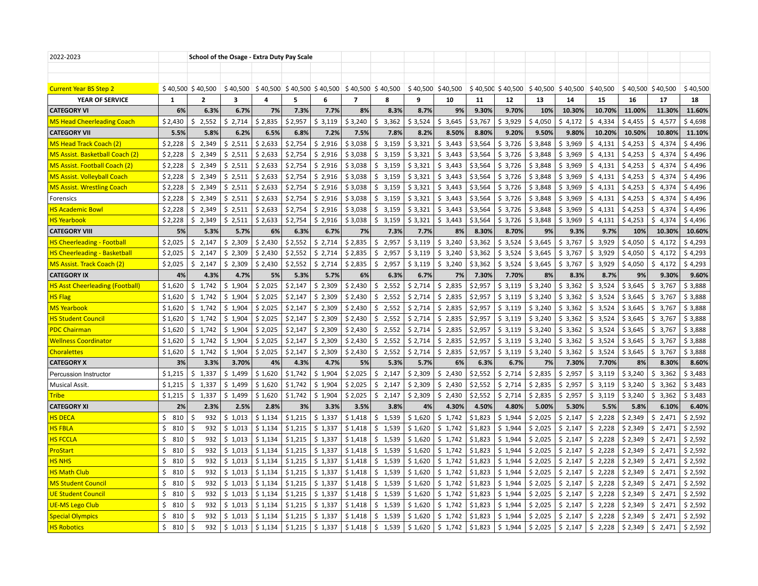| 2022-2023                              |              | School of the Osage - Extra Duty Pay Scale |             |         |         |                               |                |                    |         |                   |         |                   |          |          |             |         |                    |          |
|----------------------------------------|--------------|--------------------------------------------|-------------|---------|---------|-------------------------------|----------------|--------------------|---------|-------------------|---------|-------------------|----------|----------|-------------|---------|--------------------|----------|
|                                        |              |                                            |             |         |         |                               |                |                    |         |                   |         |                   |          |          |             |         |                    |          |
|                                        |              |                                            |             |         |         |                               |                |                    |         |                   |         |                   |          |          |             |         |                    |          |
| <b>Current Year BS Step 2</b>          |              | $$40,500$ \$40,500                         | \$40,500    |         |         | $$40,500$ $$40,500$ $$40,500$ |                | $$40,500$ \$40,500 |         | \$40,500 \$40,500 |         | \$40,500 \$40,500 | \$40,500 | \$40,500 | \$40,500    |         | $$40,500$ \$40,500 | \$40,500 |
| YEAR OF SERVICE                        | $\mathbf{1}$ | $\mathbf{z}$                               | 3           | 4       | 5       | 6                             | $\overline{7}$ | 8                  | q       | 10                | 11      | 12                | 13       | 14       | 15          | 16      | 17                 | 18       |
| <b>CATEGORY VI</b>                     | 6%           | 6.3%                                       | 6.7%        | 7%      | 7.3%    | 7.7%                          | 8%             | 8.3%               | 8.7%    | 9%                | 9.30%   | 9.70%             | 10%      | 10.30%   | 10.70%      | 11.00%  | 11.30%             | 11.60%   |
| <b>MS Head Cheerleading Coach</b>      | \$2,430      | 2,552<br>S.                                | Ś.<br>2,714 | \$2,835 | \$2,957 | \$3,119                       | \$3,240        | 3,362<br>\$.       | \$3,524 | Ś.<br>3,645       | \$3,767 | \$3,929           | \$4,050  | \$4,172  | 4,334<br>Ŝ. | \$4,455 | Ś.<br>4,577        | \$4,698  |
| <b>CATEGORY VII</b>                    | 5.5%         | 5.8%                                       | 6.2%        | 6.5%    | 6.8%    | 7.2%                          | 7.5%           | 7.8%               | 8.2%    | 8.50%             | 8.80%   | 9.20%             | 9.50%    | 9.80%    | 10.20%      | 10.50%  | 10.80%             | 11.10%   |
| <b>MS Head Track Coach (2)</b>         | \$2,228      | 2,349<br>\$                                | \$2,511     | \$2,633 | \$2,754 | \$2,916                       | \$3,038        | 3,159<br>\$        | \$3,321 | \$3,443           | \$3,564 | \$3,726           | \$3,848  | \$3,969  | Ś.<br>4,131 | \$4,253 | \$4,374            | \$4,496  |
| MS Assist. Basketball Coach (2)        | \$2,228      | \$2,349                                    | \$2,511     | \$2,633 | \$2,754 | \$2,916                       | \$3,038        | \$<br>3,159        | \$3,321 | \$3,443           | \$3,564 | \$3,726           | \$3,848  | \$3,969  | \$<br>4,131 | \$4,253 | \$4,374            | \$4,496  |
| MS Assist. Football Coach (2)          | \$2,228      | \$2,349                                    | \$2,511     | \$2,633 | \$2,754 | \$2,916                       | \$3,038        | 3,159<br>\$        | \$3,321 | \$3,443           | \$3,564 | \$3,726           | \$3,848  | \$3,969  | \$4,131     | \$4,253 | \$4,374            | \$4,496  |
| <b>MS Assist. Volleyball Coach</b>     | \$2,228      | \$2,349                                    | \$2,511     | \$2,633 | \$2,754 | \$2,916                       | \$3,038        | \$3,159            | \$3,321 | \$3,443           | \$3,564 | \$3,726           | \$3,848  | \$3,969  | \$4,131     | \$4,253 | \$4,374            | \$4,496  |
| <b>MS Assist. Wrestling Coach</b>      | \$2,228      | \$2,349                                    | \$2,511     | \$2,633 | \$2,754 | \$2,916                       | \$3,038        | \$<br>3,159        | \$3,321 | \$3,443           | \$3,564 | \$3,726           | \$3,848  | \$3,969  | \$<br>4,131 | \$4,253 | \$4,374            | \$4,496  |
| Forensics                              | \$2,228      | \$2,349                                    | \$2,511     | \$2,633 | \$2,754 | \$2,916                       | \$3,038        | Ŝ.<br>3,159        | \$3,321 | \$3,443           | \$3,564 | \$3,726           | \$3,848  | \$3,969  | \$<br>4,131 | \$4,253 | \$<br>4,374        | \$4,496  |
| <b>HS Academic Bowl</b>                | \$2,228      | \$2,349                                    | \$2,511     | \$2,633 | \$2,754 | \$2,916                       | \$3,038        | \$3,159            | \$3,321 | \$3,443           | \$3,564 | \$3,726           | \$3,848  | \$3,969  | \$4,131     | \$4,253 | \$4,374            | \$4,496  |
| <b>HS Yearbook</b>                     | \$2,228      | \$2,349                                    | \$2,511     | \$2,633 | \$2,754 | \$2,916                       | \$3,038        | \$<br>3,159        | \$3,321 | \$3,443           | \$3,564 | \$3,726           | \$3,848  | \$3,969  | \$4,131     | \$4,253 | \$4,374            | \$4,496  |
| <b>CATEGORY VIII</b>                   | 5%           | 5.3%                                       | 5.7%        | 6%      | 6.3%    | 6.7%                          | 7%             | 7.3%               | 7.7%    | 8%                | 8.30%   | 8.70%             | 9%       | 9.3%     | 9.7%        | 10%     | 10.30%             | 10.60%   |
| <b>HS Cheerleading - Football</b>      | \$2,025      | \$2,147                                    | \$2,309     | \$2,430 | \$2,552 | \$2,714                       | \$2,835        | Ŝ.<br>2,957        | \$3,119 | \$3,240           | \$3,362 | \$3,524           | \$3,645  | \$3,767  | \$3,929     | \$4,050 | \$4,172            | \$4,293  |
| <b>HS Cheerleading - Basketball</b>    | \$2,025      | 2,147<br>\$                                | \$2,309     | \$2,430 | \$2,552 | \$2,714                       | \$2,835        | 2,957<br>\$        | \$3,119 | \$3,240           | \$3,362 | \$3,524           | \$3,645  | \$3,767  | \$3,929     | \$4,050 | \$4,172            | \$4,293  |
| <b>MS Assist. Track Coach (2)</b>      | \$2,025      | \$2,147                                    | \$2,309     | \$2,430 | \$2,552 | \$2,714                       | \$2,835        | \$<br>2,957        | \$3,119 | \$3,240           | \$3,362 | \$3,524           | \$3,645  | \$3,767  | \$3,929     | \$4,050 | Ś.<br>4,172        | \$4,293  |
| <b>CATEGORY IX</b>                     | 4%           | 4.3%                                       | 4.7%        | 5%      | 5.3%    | 5.7%                          | 6%             | 6.3%               | 6.7%    | 7%                | 7.30%   | 7.70%             | 8%       | 8.3%     | 8.7%        | 9%      | 9.30%              | 9.60%    |
| <b>HS Asst Cheerleading (Football)</b> | \$1,620      | 1,742<br>\$                                | \$1,904     | \$2,025 | \$2,147 | \$2,309                       | \$2,430        | 2,552<br>\$        | \$2,714 | \$2,835           | \$2,957 | \$3,119           | \$3,240  | \$3,362  | \$<br>3,524 | \$3,645 | \$3,767            | \$3,888  |
| <b>HS Flag</b>                         | \$1,620      | \$1,742                                    | \$1,904     | \$2,025 | \$2,147 | \$2,309                       | \$2,430        | 2,552<br>\$        | \$2,714 | \$2,835           | \$2,957 | \$3,119           | \$3,240  | \$3,362  | \$<br>3,524 | \$3,645 | \$3,767            | \$3,888  |
| <b>MS Yearbook</b>                     | \$1,620      | \$1,742                                    | \$1,904     | \$2,025 | \$2,147 | \$2,309                       | \$2,430        | 2,552<br>\$        | \$2,714 | \$2,835           | \$2,957 | \$3,119           | \$3,240  | \$3,362  | \$<br>3,524 | \$3,645 | \$3,767            | \$3,888  |
| <b>HS Student Council</b>              | \$1,620      | \$1,742                                    | \$1,904     | \$2,025 | \$2,147 | \$2,309                       | \$2,430        | \$2,552            | \$2,714 | \$2,835           | \$2,957 | \$3,119           | \$3,240  | \$3,362  | \$3,524     | \$3,645 | \$3,767            | \$3,888  |
| <b>PDC Chairman</b>                    | \$1,620      | \$1,742                                    | \$1,904     | \$2,025 | \$2,147 | \$2,309                       | \$2,430        | 2,552<br>\$        | \$2,714 | \$2,835           | \$2,957 | \$3,119           | \$3,240  | \$3,362  | \$3,524     | \$3,645 | \$3,767            | \$3,888  |
| <b>Wellness Coordinator</b>            | \$1,620      | \$1,742                                    | \$1,904     | \$2,025 | \$2,147 | \$2,309                       | \$2,430        | \$<br>2,552        | \$2,714 | \$2,835           | \$2,957 | \$3,119           | \$3,240  | \$3,362  | \$3,524     | \$3,645 | \$3,767            | \$3,888  |
| <b>Choralettes</b>                     | \$1,620      | \$1,742                                    | \$1,904     | \$2,025 | \$2,147 | \$2,309                       | \$2,430        | \$<br>2,552        | \$2,714 | \$2,835           | \$2,957 | \$3,119           | \$3,240  | \$3,362  | \$3,524     | \$3,645 | \$3,767            | \$3,888  |
| <b>CATEGORY X</b>                      | 3%           | 3.3%                                       | 3.70%       | 4%      | 4.3%    | 4.7%                          | 5%             | 5.3%               | 5.7%    | 6%                | 6.3%    | 6.7%              | 7%       | 7.30%    | 7.70%       | 8%      | 8.30%              | 8.60%    |
| Percussion Instructor                  | \$1,215      | \$1,337                                    | \$1,499     | \$1,620 | \$1,742 | \$1,904                       | \$2,025        | \$<br>2,147        | \$2,309 | \$2,430           | \$2,552 | \$2,714           | \$2,835  | \$2,957  | \$<br>3,119 | \$3,240 | \$3,362            | \$3,483  |
| Musical Assit.                         | \$1,215      | \$1,337                                    | \$1,499     | \$1,620 | \$1,742 | \$1,904                       | \$2,025        | 2,147<br>Ś.        | \$2,309 | \$2,430           | \$2,552 | \$2,714           | \$2,835  | \$2,957  | \$<br>3,119 | \$3,240 | \$3,362            | \$3,483  |
| <b>Tribe</b>                           | \$1,215      | \$1,337                                    | \$1,499     | \$1,620 | \$1,742 | \$1,904                       | \$2,025        | \$<br>2,147        | \$2,309 | \$2,430           | \$2,552 | \$2,714           | \$2,835  | \$2,957  | \$3,119     | \$3,240 | \$3,362            | \$3,483  |
| <b>CATEGORY XI</b>                     | 2%           | 2.3%                                       | 2.5%        | 2.8%    | 3%      | 3.3%                          | 3.5%           | 3.8%               | 4%      | 4.30%             | 4.50%   | 4.80%             | 5.00%    | 5.30%    | 5.5%        | 5.8%    | 6.10%              | 6.40%    |
| <b>HS DECA</b>                         | \$810        | 932<br>\$.                                 | \$1,013     | \$1,134 | \$1,215 | \$1,337                       | \$1,418        | \$1,539            | \$1,620 | \$1,742           | \$1,823 | \$1,944           | \$2,025  | \$2,147  | \$2,228     | \$2,349 | \$2,471            | \$2,592  |
| <b>HS FBLA</b>                         | \$<br>810    | 932<br>-\$                                 | \$1,013     | \$1,134 | \$1,215 | \$1,337                       | \$1,418        | \$1,539            | \$1,620 | \$1,742           | \$1,823 | \$1,944           | \$2,025  | \$2,147  | \$2,228     | \$2,349 | \$2,471            | \$2,592  |
| <b>HS FCCLA</b>                        | \$<br>810    | \$<br>932                                  | \$1,013     | \$1,134 | \$1,215 | \$1,337                       | \$1,418        | \$<br>1,539        | \$1,620 | \$1,742           | \$1,823 | \$1,944           | \$2,025  | \$2,147  | \$<br>2,228 | \$2,349 | \$2,471            | \$2,592  |
| <mark>ProStart</mark>                  | \$<br>810    | 932<br>\$                                  | \$1,013     | \$1,134 | \$1,215 | \$1,337                       | \$1,418        | \$<br>1,539        | \$1,620 | \$1,742           | \$1,823 | \$1,944           | \$2,025  | \$2,147  | \$2,228     | \$2,349 | \$2,471            | \$2,592  |
| <b>HS NHS</b>                          | \$<br>810    | 932<br>\$                                  | \$1,013     | \$1,134 | \$1,215 | \$1,337                       | \$1,418        | \$1,539            | \$1,620 | \$1,742           | \$1,823 | \$1,944           | \$2,025  | \$2,147  | \$2,228     | \$2,349 | \$2,471            | \$2,592  |
| <b>HS Math Club</b>                    | \$<br>810    | 932<br>\$.                                 | \$1,013     | \$1,134 | \$1,215 | \$1,337                       | \$1,418        | 1,539<br>S.        | \$1,620 | \$1,742           | \$1,823 | \$1,944           | \$2,025  | \$2,147  | \$2,228     | \$2,349 | \$2,471            | \$2,592  |
| <b>MS Student Council</b>              | \$<br>810    | 932<br>-\$                                 | \$1,013     | \$1,134 | \$1,215 | \$1,337                       | \$1,418        | \$<br>1,539        | \$1,620 | \$1,742           | \$1,823 | \$1,944           | \$2,025  | \$2,147  | \$2,228     | \$2,349 | \$2,471            | \$2,592  |
| <b>UE Student Council</b>              | \$<br>810    | 932<br>\$                                  | \$1,013     | \$1,134 | \$1,215 | \$1,337                       | \$1,418        | \$1,539            | \$1,620 | \$1,742           | \$1,823 | \$1,944           | \$2,025  | \$2,147  | \$2,228     | \$2,349 | \$2,471            | \$2,592  |
| <b>UE-MS Lego Club</b>                 | \$<br>810    | 932<br>\$                                  | \$1,013     | \$1,134 | \$1,215 | \$1,337                       | \$1,418        | Ś.<br>1,539        | \$1,620 | \$1,742           | \$1,823 | \$1,944           | \$2,025  | \$2,147  | \$2,228     | \$2,349 | \$2,471            | \$2,592  |
| <b>Special Olympics</b>                | \$<br>810    | 932<br>\$                                  | \$1,013     | \$1,134 | \$1,215 | \$1,337                       | \$1,418        | \$<br>1,539        | \$1,620 | \$1,742           | \$1,823 | \$1,944           | \$2,025  | \$2,147  | \$<br>2,228 | \$2,349 | \$2,471            | \$2,592  |
| <b>HS Robotics</b>                     | \$310        | 932<br>Ŝ                                   | \$1,013     | \$1,134 | \$1,215 | \$1,337                       | \$1,418        | \$1,539            | \$1,620 | \$1,742           | \$1,823 | \$1,944           | \$2,025  | \$2,147  | \$2,228     | \$2,349 | \$2,471            | \$2,592  |